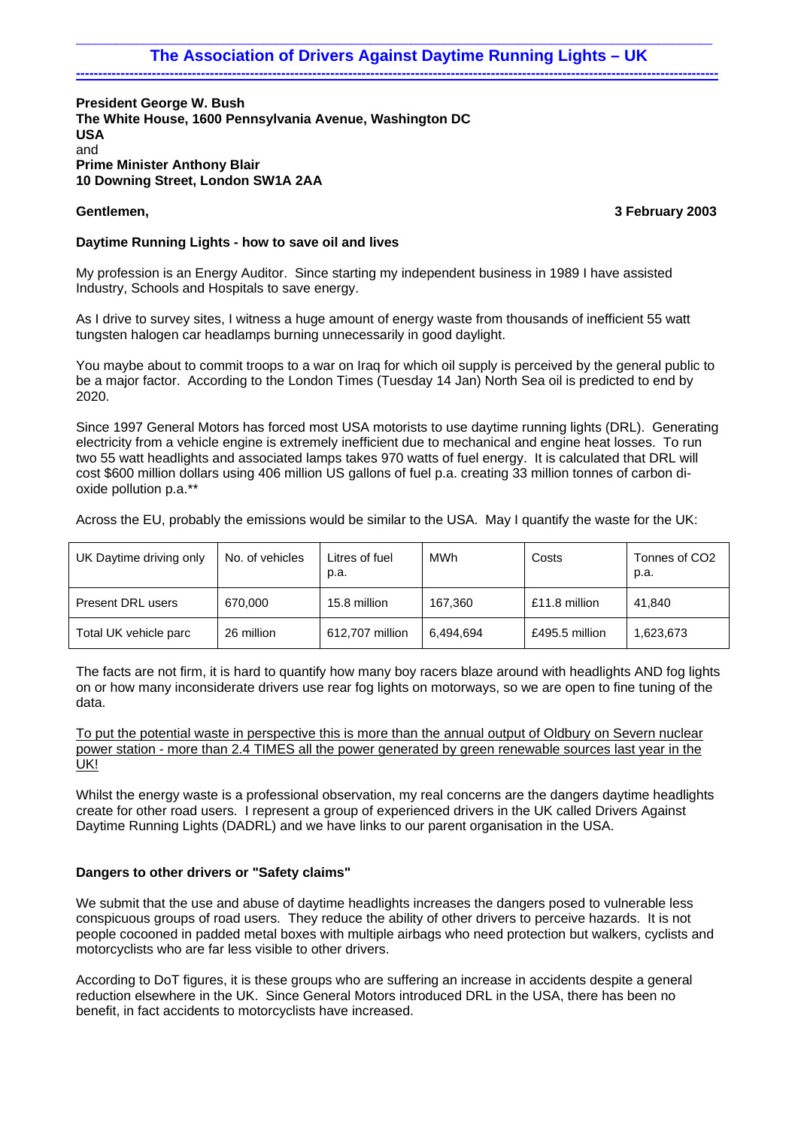# \_\_\_\_\_\_\_\_\_\_\_\_\_\_\_\_\_\_\_\_\_\_\_\_\_\_\_\_\_\_\_\_\_\_\_\_\_\_\_\_\_\_\_\_\_\_\_\_\_\_\_\_\_\_\_\_\_\_\_\_\_\_\_\_\_\_\_\_\_\_\_\_\_\_\_\_\_\_\_\_\_\_\_\_\_\_\_\_\_\_\_\_\_\_\_ The Association of Drivers Against Daytime Running Lights - UK

**President George W. Bush The White House, 1600 Pennsylvania Avenue, Washington DC USA**  and **Prime Minister Anthony Blair 10 Downing Street, London SW1A 2AA** 

**Gentlemen, 3 February 2003**

# **Daytime Running Lights - how to save oil and lives**

My profession is an Energy Auditor. Since starting my independent business in 1989 I have assisted Industry, Schools and Hospitals to save energy.

As I drive to survey sites, I witness a huge amount of energy waste from thousands of inefficient 55 watt tungsten halogen car headlamps burning unnecessarily in good daylight.

You maybe about to commit troops to a war on Iraq for which oil supply is perceived by the general public to be a major factor. According to the London Times (Tuesday 14 Jan) North Sea oil is predicted to end by 2020.

Since 1997 General Motors has forced most USA motorists to use daytime running lights (DRL). Generating electricity from a vehicle engine is extremely inefficient due to mechanical and engine heat losses. To run two 55 watt headlights and associated lamps takes 970 watts of fuel energy. It is calculated that DRL will cost \$600 million dollars using 406 million US gallons of fuel p.a. creating 33 million tonnes of carbon dioxide pollution p.a.\*\*

Across the EU, probably the emissions would be similar to the USA. May I quantify the waste for the UK:

| UK Daytime driving only | No. of vehicles | Litres of fuel<br>p.a. | MWh       | Costs          | Tonnes of CO2<br>р.а. |
|-------------------------|-----------------|------------------------|-----------|----------------|-----------------------|
| Present DRL users       | 670.000         | 15.8 million           | 167.360   | £11.8 million  | 41.840                |
| Total UK vehicle parc   | 26 million      | 612.707 million        | 6.494.694 | £495.5 million | 1,623,673             |

The facts are not firm, it is hard to quantify how many boy racers blaze around with headlights AND fog lights on or how many inconsiderate drivers use rear fog lights on motorways, so we are open to fine tuning of the data.

To put the potential waste in perspective this is more than the annual output of Oldbury on Severn nuclear power station - more than 2.4 TIMES all the power generated by green renewable sources last year in the UK!

Whilst the energy waste is a professional observation, my real concerns are the dangers daytime headlights create for other road users. I represent a group of experienced drivers in the UK called Drivers Against Daytime Running Lights (DADRL) and we have links to our parent organisation in the USA.

# **Dangers to other drivers or "Safety claims"**

We submit that the use and abuse of daytime headlights increases the dangers posed to vulnerable less conspicuous groups of road users. They reduce the ability of other drivers to perceive hazards. It is not people cocooned in padded metal boxes with multiple airbags who need protection but walkers, cyclists and motorcyclists who are far less visible to other drivers.

According to DoT figures, it is these groups who are suffering an increase in accidents despite a general reduction elsewhere in the UK. Since General Motors introduced DRL in the USA, there has been no benefit, in fact accidents to motorcyclists have increased.